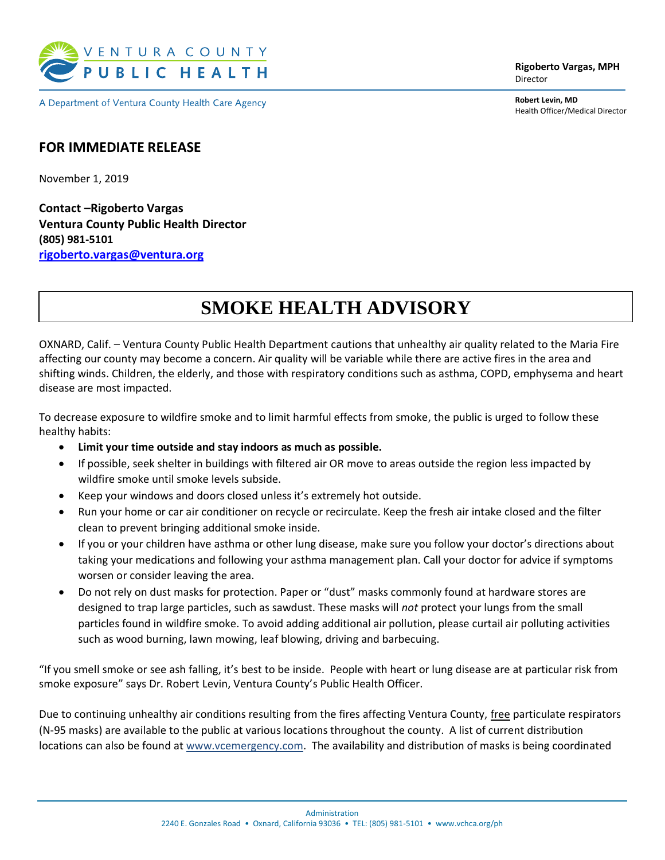

A Department of Ventura County Health Care Agency

**Rigoberto Vargas, MPH** Director

**Robert Levin, MD** Health Officer/Medical Director

#### **FOR IMMEDIATE RELEASE**

November 1, 2019

**Contact –Rigoberto Vargas Ventura County Public Health Director (805) 981-5101 rigoberto.vargas@ventura.org**

## **SMOKE HEALTH ADVISORY**

OXNARD, Calif. – Ventura County Public Health Department cautions that unhealthy air quality related to the Maria Fire affecting our county may become a concern. Air quality will be variable while there are active fires in the area and shifting winds. Children, the elderly, and those with respiratory conditions such as asthma, COPD, emphysema and heart disease are most impacted.

To decrease exposure to wildfire smoke and to limit harmful effects from smoke, the public is urged to follow these healthy habits:

- **Limit your time outside and stay indoors as much as possible.**
- If possible, seek shelter in buildings with filtered air OR move to areas outside the region less impacted by wildfire smoke until smoke levels subside.
- Keep your windows and doors closed unless it's extremely hot outside.
- Run your home or car air conditioner on recycle or recirculate. Keep the fresh air intake closed and the filter clean to prevent bringing additional smoke inside.
- If you or your children have asthma or other lung disease, make sure you follow your doctor's directions about taking your medications and following your asthma management plan. Call your doctor for advice if symptoms worsen or consider leaving the area.
- Do not rely on dust masks for protection. Paper or "dust" masks commonly found at hardware stores are designed to trap large particles, such as sawdust. These masks will *not* protect your lungs from the small particles found in wildfire smoke. To avoid adding additional air pollution, please curtail air polluting activities such as wood burning, lawn mowing, leaf blowing, driving and barbecuing.

"If you smell smoke or see ash falling, it's best to be inside. People with heart or lung disease are at particular risk from smoke exposure" says Dr. Robert Levin, Ventura County's Public Health Officer.

Due to continuing unhealthy air conditions resulting from the fires affecting Ventura County, free particulate respirators (N-95 masks) are available to the public at various locations throughout the county. A list of current distribution locations can also be found at [www.vcemergency.com.](http://www.vcemergency.com/) The availability and distribution of masks is being coordinated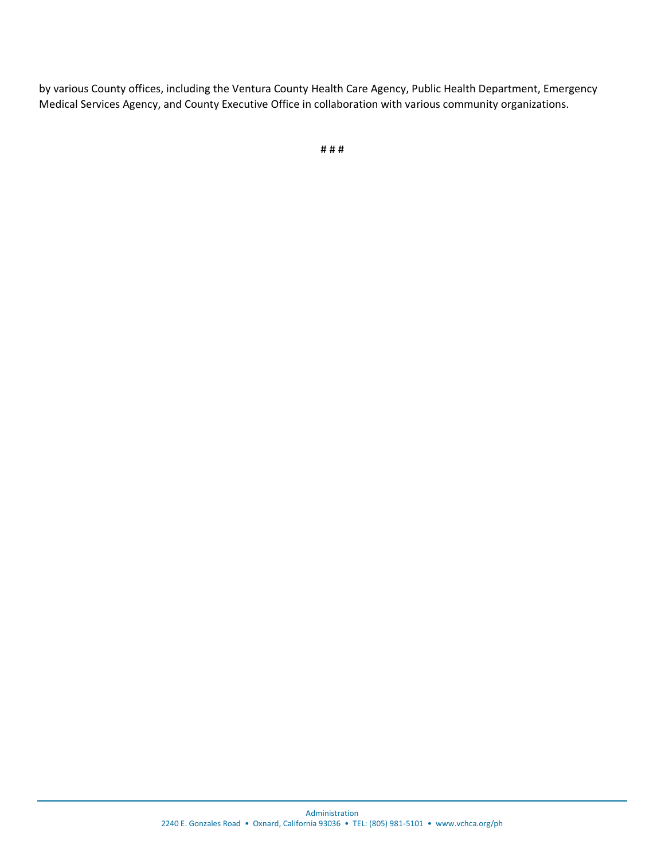by various County offices, including the Ventura County Health Care Agency, Public Health Department, Emergency Medical Services Agency, and County Executive Office in collaboration with various community organizations.